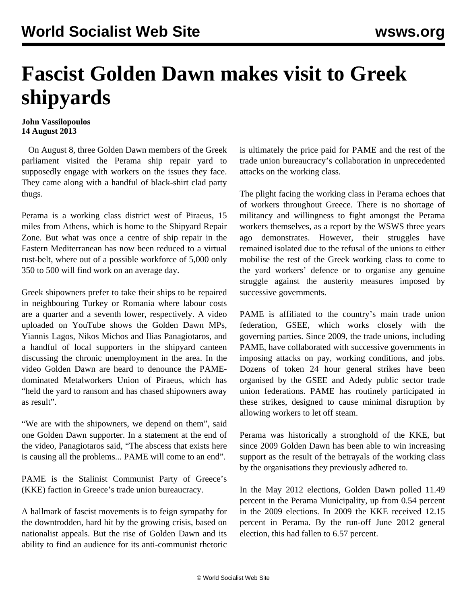## **Fascist Golden Dawn makes visit to Greek shipyards**

## **John Vassilopoulos 14 August 2013**

 On August 8, three Golden Dawn members of the Greek parliament visited the Perama ship repair yard to supposedly engage with workers on the issues they face. They came along with a handful of black-shirt clad party thugs.

Perama is a working class district west of Piraeus, 15 miles from Athens, which is home to the Shipyard Repair Zone. But what was once a centre of ship repair in the Eastern Mediterranean has now been reduced to a virtual rust-belt, where out of a possible workforce of 5,000 only 350 to 500 will find work on an average day.

Greek shipowners prefer to take their ships to be repaired in neighbouring Turkey or Romania where labour costs are a quarter and a seventh lower, respectively. A [video](http://www.youtube.com/watch?v=nJW1jTn6H3w) uploaded on YouTube shows the Golden Dawn MPs, Yiannis Lagos, Nikos Michos and Ilias Panagiotaros, and a handful of local supporters in the shipyard canteen discussing the chronic unemployment in the area. In the video Golden Dawn are heard to denounce the PAMEdominated Metalworkers Union of Piraeus, which has "held the yard to ransom and has chased shipowners away as result".

"We are with the shipowners, we depend on them", said one Golden Dawn supporter. In a statement at the end of the video, Panagiotaros said, "The abscess that exists here is causing all the problems... PAME will come to an end".

PAME is the Stalinist Communist Party of Greece's (KKE) faction in Greece's trade union bureaucracy.

A hallmark of fascist movements is to feign sympathy for the downtrodden, hard hit by the growing crisis, based on nationalist appeals. But the rise of Golden Dawn and its ability to find an audience for its anti-communist rhetoric is ultimately the price paid for PAME and the rest of the trade union bureaucracy's collaboration in unprecedented attacks on the working class.

The plight facing the working class in Perama echoes that of workers throughout Greece. There is no shortage of militancy and willingness to fight amongst the Perama workers themselves, as a [report](/en/articles/2010/05/gree-m15.html) by the WSWS three years ago demonstrates. However, their struggles have remained isolated due to the refusal of the unions to either mobilise the rest of the Greek working class to come to the yard workers' defence or to organise any genuine struggle against the austerity measures imposed by successive governments.

PAME is affiliated to the country's main trade union federation, GSEE, which works closely with the governing parties. Since 2009, the trade unions, including PAME, have collaborated with successive governments in imposing attacks on pay, working conditions, and jobs. Dozens of token 24 hour general strikes have been organised by the GSEE and Adedy public sector trade union federations. PAME has routinely participated in these strikes, designed to cause minimal disruption by allowing workers to let off steam.

Perama was historically a stronghold of the KKE, but since 2009 Golden Dawn has been able to win increasing support as the result of the betrayals of the working class by the organisations they previously adhered to.

In the May 2012 elections, Golden Dawn polled 11.49 percent in the Perama Municipality, up from 0.54 percent in the 2009 elections. In 2009 the KKE received 12.15 percent in Perama. By the run-off June 2012 general election, this had fallen to 6.57 percent.